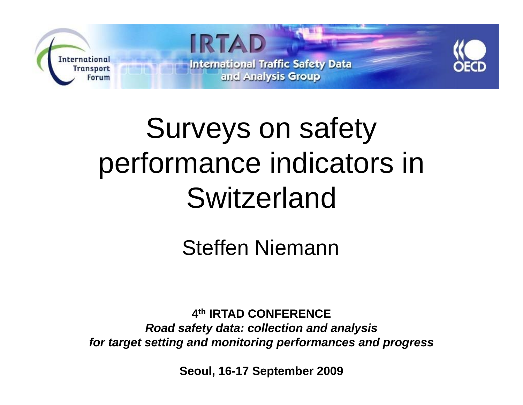

# Surveys on safety performance indicators in Switzerland

Steffen Niemann

**4th IRTAD CONFERENCE**  *Road safety data: collection and analysis for target setting and monitoring performances and progress* 

**Seoul, 16-17 September 2009**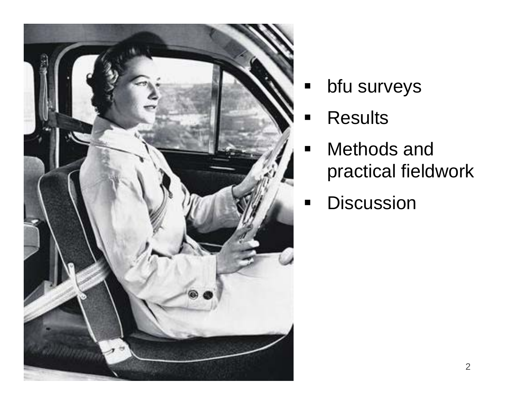

- $\blacksquare$ bfu surveys
- ۷ **E** Results
- $\blacksquare$ ■ Methods and practical fieldwork
- **•** Discussion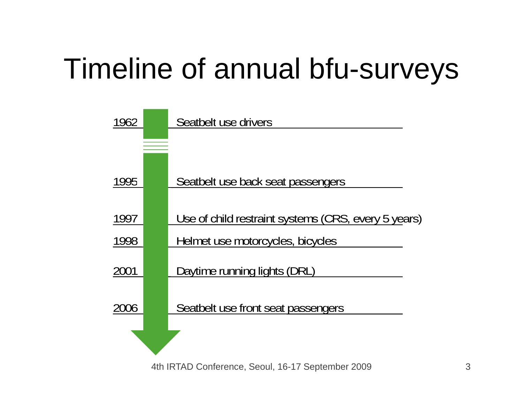# Timeline of annual bfu-surveys

| 1962 | Seatbelt use drivers                                |
|------|-----------------------------------------------------|
|      |                                                     |
|      |                                                     |
| 1995 | Seatbelt use back seat passengers                   |
|      |                                                     |
| 1997 | Use of child restraint systems (CRS, every 5 years) |
| 1998 | Helmet use motorcycles, bicycles                    |
| 2001 | Daytime running lights (DRL)                        |
| 2006 | Seatbelt use front seat passengers                  |
|      |                                                     |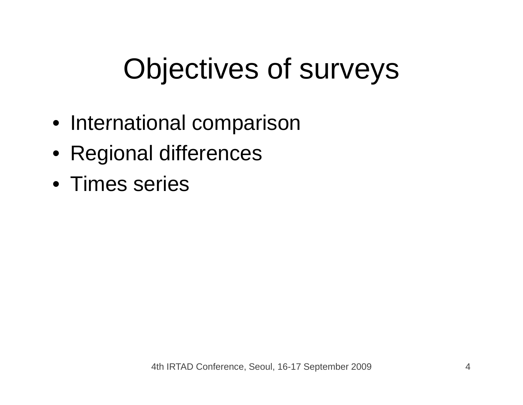# Objectives of surveys

- International comparison
- Regional differences
- Times series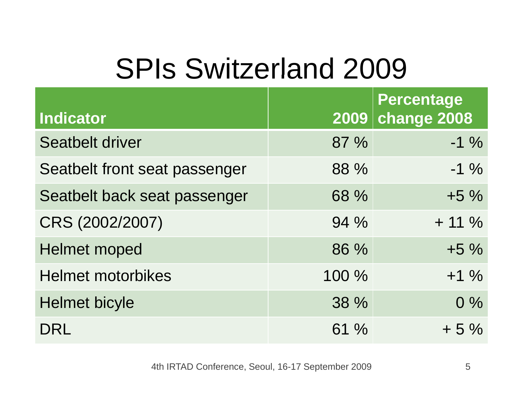# SPIs Switzerland 2009

| <b>Indicator</b>              | 2009  | <b>Percentage</b><br>change 2008 |
|-------------------------------|-------|----------------------------------|
| <b>Seatbelt driver</b>        | 87 %  | $-1\%$                           |
| Seatbelt front seat passenger | 88 %  | $-1\%$                           |
| Seatbelt back seat passenger  | 68 %  | $+5\%$                           |
| CRS (2002/2007)               | 94 %  | $+ 11 \%$                        |
| <b>Helmet moped</b>           | 86 %  | $+5\%$                           |
| <b>Helmet motorbikes</b>      | 100 % | $+1\%$                           |
| <b>Helmet bicyle</b>          | 38 %  | $0\%$                            |
| DRI                           | 61%   | $+5%$                            |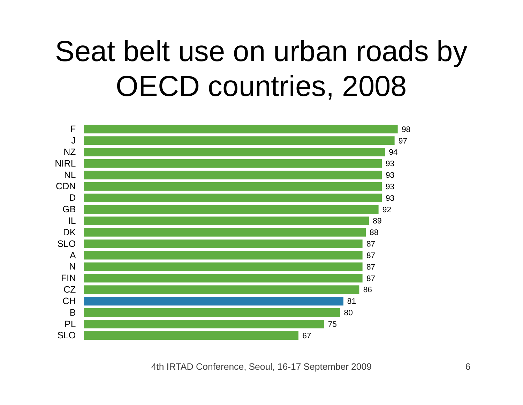## Seat belt use on urban roads by OECD countries, 2008

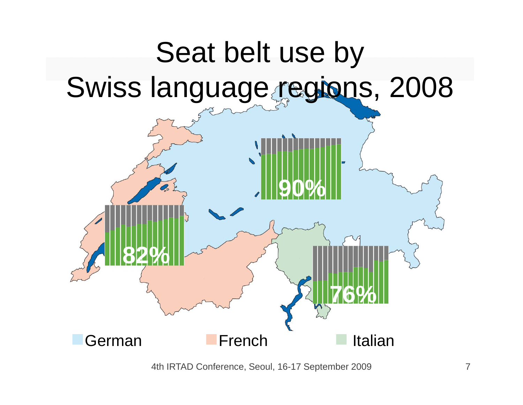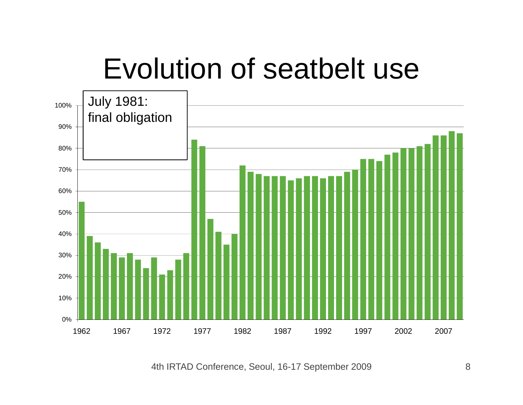## Evolution of seatbelt use

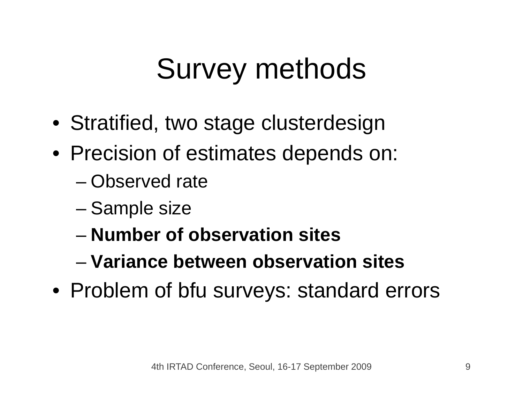## Survey methods

- Stratified, two stage clusterdesign
- Precision of estimates depends on:
	- Observed rate
	- –Sample size
	- **Number of observation sites**
	- **Variance between observation sites**
- Problem of bfu surveys: standard errors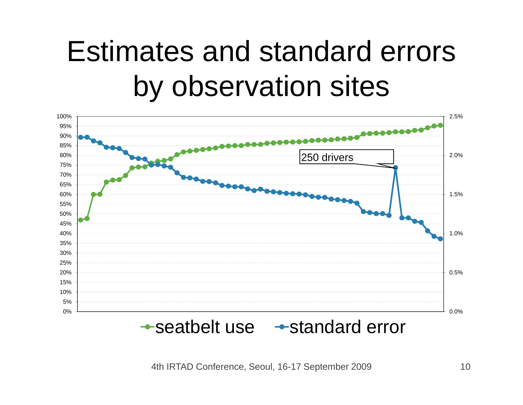## Estimates and standard errors by observation sites

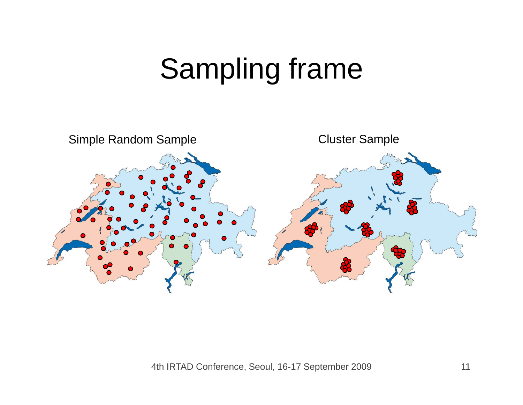## Sampling frame

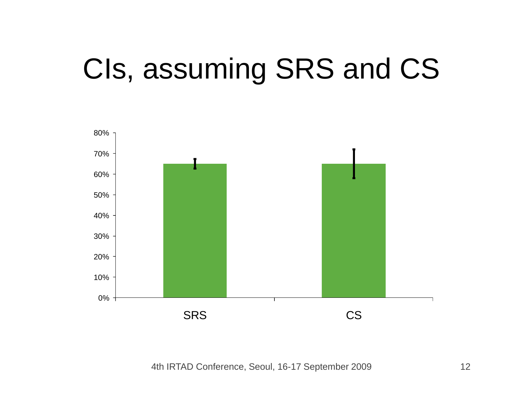# CIs, assuming SRS and CS

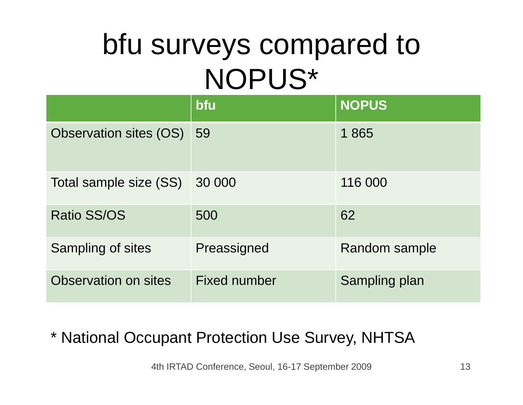## bfu surveys compared to NOPUS\*

|                        | bfu                 | <b>NOPUS</b>  |
|------------------------|---------------------|---------------|
| Observation sites (OS) | 59                  | 1865          |
| Total sample size (SS) | 30 000              | 116 000       |
| <b>Ratio SS/OS</b>     | 500                 | 62            |
| Sampling of sites      | Preassigned         | Random sample |
| Observation on sites   | <b>Fixed number</b> | Sampling plan |

#### \* National Occupant Protection Use Survey, NHTS A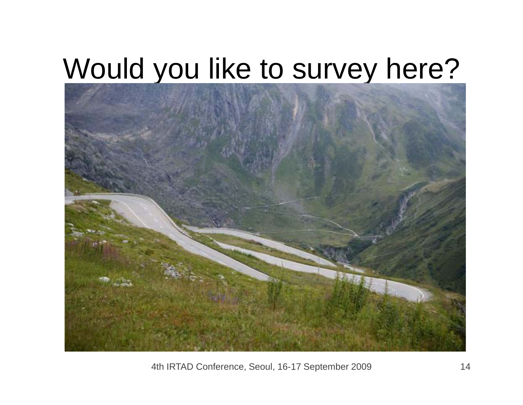### Would you like to survey here?

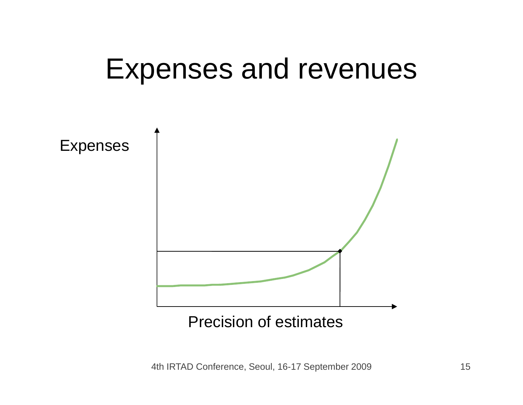

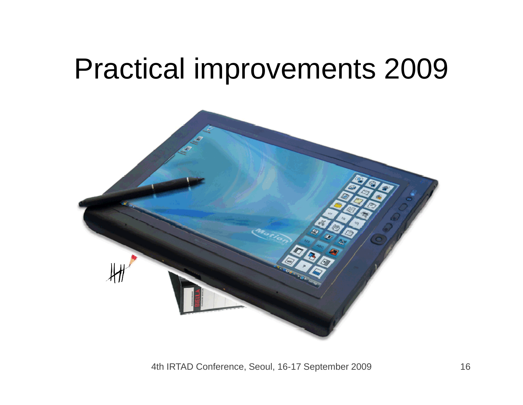### Practical improvements 2009